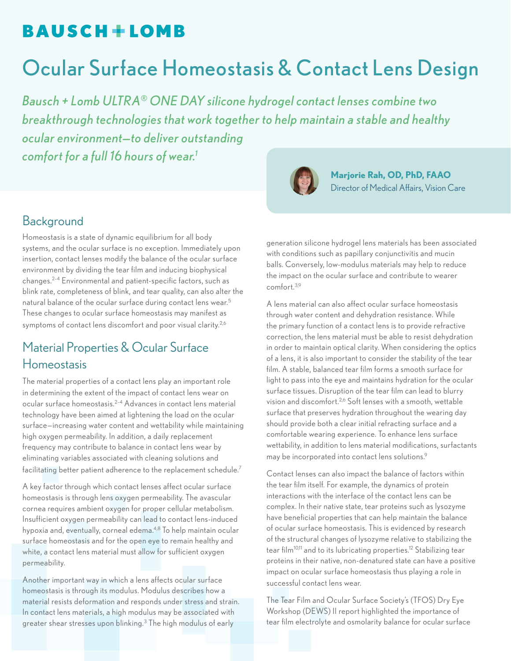## **BAUSCH+LOMB**

# Ocular Surface Homeostasis & Contact Lens Design

*Bausch + Lomb ULTRA® ONE DAY silicone hydrogel contact lenses combine two breakthrough technologies that work together to help maintain a stable and healthy ocular environment—to deliver outstanding comfort for a full 16 hours of wear.1*



**Marjorie Rah, OD, PhD, FAAO** Director of Medical Affairs, Vision Care

### **Background**

Homeostasis is a state of dynamic equilibrium for all body systems, and the ocular surface is no exception. Immediately upon insertion, contact lenses modify the balance of the ocular surface environment by dividing the tear film and inducing biophysical changes.2–4 Environmental and patient-specific factors, such as blink rate, completeness of blink, and tear quality, can also alter the natural balance of the ocular surface during contact lens wear.5 These changes to ocular surface homeostasis may manifest as symptoms of contact lens discomfort and poor visual clarity.<sup>2,6</sup>

### Material Properties & Ocular Surface Homeostasis

The material properties of a contact lens play an important role in determining the extent of the impact of contact lens wear on ocular surface homeostasis.2–4 Advances in contact lens material technology have been aimed at lightening the load on the ocular surface—increasing water content and wettability while maintaining high oxygen permeability. In addition, a daily replacement frequency may contribute to balance in contact lens wear by eliminating variables associated with cleaning solutions and facilitating better patient adherence to the replacement schedule.<sup>7</sup>

A key factor through which contact lenses affect ocular surface homeostasis is through lens oxygen permeability. The avascular cornea requires ambient oxygen for proper cellular metabolism. Insufficient oxygen permeability can lead to contact lens-induced hypoxia and, eventually, corneal edema.<sup>4,8</sup> To help maintain ocular surface homeostasis and for the open eye to remain healthy and white, a contact lens material must allow for sufficient oxygen permeability.

Another important way in which a lens affects ocular surface homeostasis is through its modulus. Modulus describes how a material resists deformation and responds under stress and strain. In contact lens materials, a high modulus may be associated with greater shear stresses upon blinking.3 The high modulus of early

generation silicone hydrogel lens materials has been associated with conditions such as papillary conjunctivitis and mucin balls. Conversely, low-modulus materials may help to reduce the impact on the ocular surface and contribute to wearer comfort.3,9

A lens material can also affect ocular surface homeostasis through water content and dehydration resistance. While the primary function of a contact lens is to provide refractive correction, the lens material must be able to resist dehydration in order to maintain optical clarity. When considering the optics of a lens, it is also important to consider the stability of the tear film. A stable, balanced tear film forms a smooth surface for light to pass into the eye and maintains hydration for the ocular surface tissues. Disruption of the tear film can lead to blurry vision and discomfort.2,6 Soft lenses with a smooth, wettable surface that preserves hydration throughout the wearing day should provide both a clear initial refracting surface and a comfortable wearing experience. To enhance lens surface wettability, in addition to lens material modifications, surfactants may be incorporated into contact lens solutions.9

Contact lenses can also impact the balance of factors within the tear film itself. For example, the dynamics of protein interactions with the interface of the contact lens can be complex. In their native state, tear proteins such as lysozyme have beneficial properties that can help maintain the balance of ocular surface homeostasis. This is evidenced by research of the structural changes of lysozyme relative to stabilizing the tear film<sup>10,11</sup> and to its lubricating properties.<sup>12</sup> Stabilizing tear proteins in their native, non-denatured state can have a positive impact on ocular surface homeostasis thus playing a role in successful contact lens wear.

The Tear Film and Ocular Surface Society's (TFOS) Dry Eye Workshop (DEWS) II report highlighted the importance of tear film electrolyte and osmolarity balance for ocular surface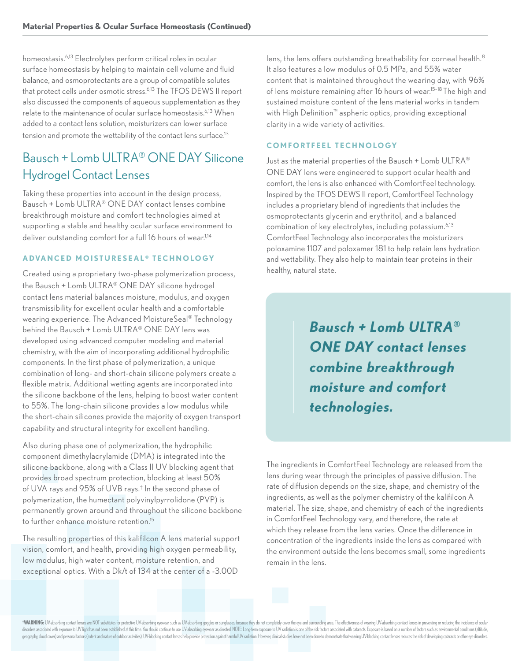homeostasis.6,13 Electrolytes perform critical roles in ocular surface homeostasis by helping to maintain cell volume and fluid balance, and osmoprotectants are a group of compatible solutes that protect cells under osmotic stress.6,13 The TFOS DEWS II report also discussed the components of aqueous supplementation as they relate to the maintenance of ocular surface homeostasis.6,13 When added to a contact lens solution, moisturizers can lower surface tension and promote the wettability of the contact lens surface.<sup>13</sup>

### Bausch + Lomb ULTRA® ONE DAY Silicone Hydrogel Contact Lenses

Taking these properties into account in the design process, Bausch + Lomb ULTRA® ONE DAY contact lenses combine breakthrough moisture and comfort technologies aimed at supporting a stable and healthy ocular surface environment to deliver outstanding comfort for a full 16 hours of wear.<sup>1,14</sup>

#### **ADVANCED MOISTURESEAL<sup>®</sup> TECHNOLOGY**

Created using a proprietary two-phase polymerization process, the Bausch + Lomb ULTRA® ONE DAY silicone hydrogel contact lens material balances moisture, modulus, and oxygen transmissibility for excellent ocular health and a comfortable wearing experience. The Advanced MoistureSeal® Technology behind the Bausch + Lomb ULTRA® ONE DAY lens was developed using advanced computer modeling and material chemistry, with the aim of incorporating additional hydrophilic components. In the first phase of polymerization, a unique combination of long- and short-chain silicone polymers create a flexible matrix. Additional wetting agents are incorporated into the silicone backbone of the lens, helping to boost water content to 55%. The long-chain silicone provides a low modulus while the short-chain silicones provide the majority of oxygen transport capability and structural integrity for excellent handling.

Also during phase one of polymerization, the hydrophilic component dimethylacrylamide (DMA) is integrated into the silicone backbone, along with a Class II UV blocking agent that provides broad spectrum protection, blocking at least 50% of UVA rays and 95% of UVB rays.† In the second phase of polymerization, the humectant polyvinylpyrrolidone (PVP) is permanently grown around and throughout the silicone backbone to further enhance moisture retention.15

The resulting properties of this kalifilcon A lens material support vision, comfort, and health, providing high oxygen permeability, low modulus, high water content, moisture retention, and exceptional optics. With a Dk/t of 134 at the center of a -3.00D

lens, the lens offers outstanding breathability for corneal health.<sup>8</sup> It also features a low modulus of 0.5 MPa, and 55% water content that is maintained throughout the wearing day, with 96% of lens moisture remaining after 16 hours of wear.15–18 The high and sustained moisture content of the lens material works in tandem with High Definition™ aspheric optics, providing exceptional clarity in a wide variety of activities.

#### **COMFORTFEEL TECHNOLOGY**

Just as the material properties of the Bausch + Lomb ULTRA® ONE DAY lens were engineered to support ocular health and comfort, the lens is also enhanced with ComfortFeel technology. Inspired by the TFOS DEWS II report, ComfortFeel Technology includes a proprietary blend of ingredients that includes the osmoprotectants glycerin and erythritol, and a balanced combination of key electrolytes, including potassium.<sup>6,13</sup> ComfortFeel Technology also incorporates the moisturizers poloxamine 1107 and poloxamer 181 to help retain lens hydration and wettability. They also help to maintain tear proteins in their healthy, natural state.

> *Bausch + Lomb ULTRA® ONE DAY contact lenses combine breakthrough moisture and comfort technologies.*

The ingredients in ComfortFeel Technology are released from the lens during wear through the principles of passive diffusion. The rate of diffusion depends on the size, shape, and chemistry of the ingredients, as well as the polymer chemistry of the kalifilcon A material. The size, shape, and chemistry of each of the ingredients in ComfortFeel Technology vary, and therefore, the rate at which they release from the lens varies. Once the difference in concentration of the ingredients inside the lens as compared with the environment outside the lens becomes small, some ingredients remain in the lens.

\*WARNING: UV-absorbing contact lenses are NOT substitutes for protective UV-absorbing eyewear, such as UV-absorbing goggles or sunglasses, because they do not completely cover the eye and surrounding area. The effectivenes disorders associated with exposure to UV light has not been established at this time. You should continue to use UV-absorbing eyewear as directed. NOTE: Long-term exposure to UV radiation is one of the risk factors associa geography, cloud cover) and personal factors (extent and nature of outdoor activities). UV-blocking contact lenses help provide protection against harmful LUV radiation. However, clinical studies have not been done to demo